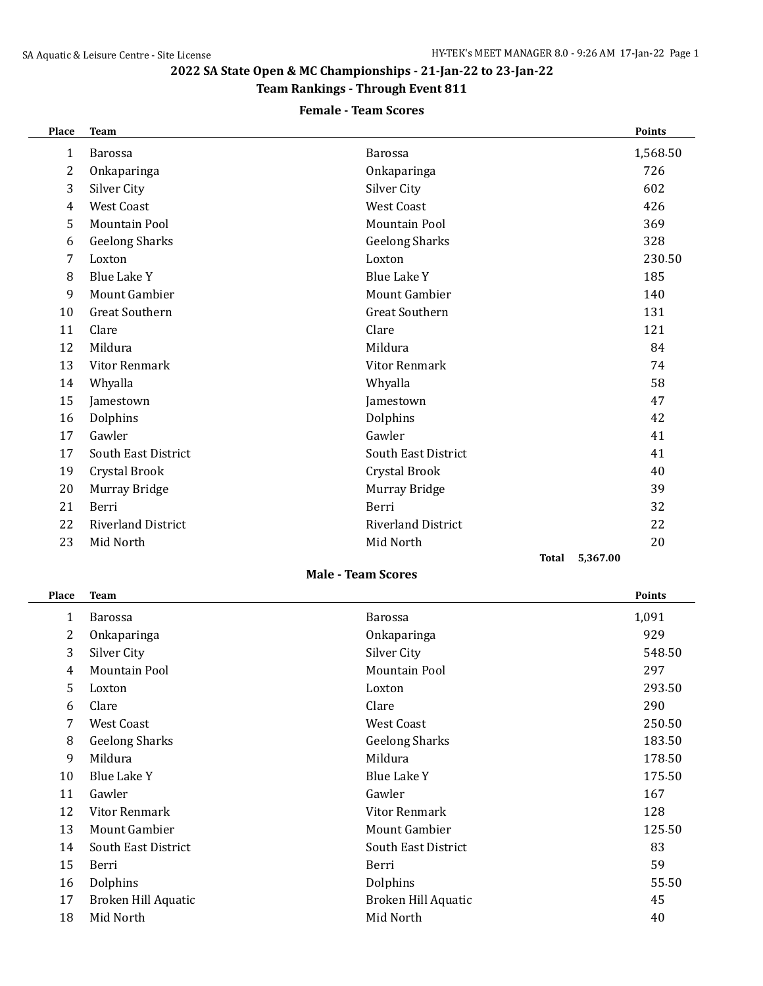## **2022 SA State Open & MC Championships - 21-Jan-22 to 23-Jan-22**

## **Team Rankings - Through Event 811**

### **Female - Team Scores**

| Place | <b>Team</b>               |                           | <b>Points</b> |
|-------|---------------------------|---------------------------|---------------|
| 1     | <b>Barossa</b>            | <b>Barossa</b>            | 1,568.50      |
| 2     | Onkaparinga               | Onkaparinga               | 726           |
| 3     | Silver City               | Silver City               | 602           |
| 4     | <b>West Coast</b>         | <b>West Coast</b>         | 426           |
| 5     | <b>Mountain Pool</b>      | <b>Mountain Pool</b>      | 369           |
| 6     | <b>Geelong Sharks</b>     | <b>Geelong Sharks</b>     | 328           |
| 7     | Loxton                    | Loxton                    | 230.50        |
| 8     | Blue Lake Y               | Blue Lake Y               | 185           |
| 9     | <b>Mount Gambier</b>      | <b>Mount Gambier</b>      | 140           |
| 10    | <b>Great Southern</b>     | <b>Great Southern</b>     | 131           |
| 11    | Clare                     | Clare                     | 121           |
| 12    | Mildura                   | Mildura                   | 84            |
| 13    | <b>Vitor Renmark</b>      | Vitor Renmark             | 74            |
| 14    | Whyalla                   | Whyalla                   | 58            |
| 15    | Jamestown                 | Jamestown                 | 47            |
| 16    | Dolphins                  | Dolphins                  | 42            |
| 17    | Gawler                    | Gawler                    | 41            |
| 17    | South East District       | South East District       | 41            |
| 19    | Crystal Brook             | Crystal Brook             | 40            |
| 20    | Murray Bridge             | Murray Bridge             | 39            |
| 21    | Berri                     | Berri                     | 32            |
| 22    | <b>Riverland District</b> | <b>Riverland District</b> | 22            |
| 23    | Mid North                 | Mid North                 | 20            |
|       |                           | Total                     | 5,367.00      |

### **Male - Team Scores**

| Place | <b>Team</b>           |                       | <b>Points</b> |
|-------|-----------------------|-----------------------|---------------|
| 1     | <b>Barossa</b>        | <b>Barossa</b>        | 1,091         |
| 2     | Onkaparinga           | Onkaparinga           | 929           |
| 3     | Silver City           | Silver City           | 548.50        |
| 4     | Mountain Pool         | Mountain Pool         | 297           |
| 5.    | Loxton                | Loxton                | 293.50        |
| 6     | Clare                 | Clare                 | 290           |
| 7     | <b>West Coast</b>     | <b>West Coast</b>     | 250.50        |
| 8     | <b>Geelong Sharks</b> | <b>Geelong Sharks</b> | 183.50        |
| 9     | Mildura               | Mildura               | 178.50        |
| 10    | Blue Lake Y           | Blue Lake Y           | 175.50        |
| 11    | Gawler                | Gawler                | 167           |
| 12    | Vitor Renmark         | Vitor Renmark         | 128           |
| 13    | Mount Gambier         | Mount Gambier         | 125.50        |
| 14    | South East District   | South East District   | 83            |
| 15    | Berri                 | Berri                 | 59            |
| 16    | Dolphins              | Dolphins              | 55.50         |
| 17    | Broken Hill Aquatic   | Broken Hill Aquatic   | 45            |
| 18    | Mid North             | Mid North             | 40            |